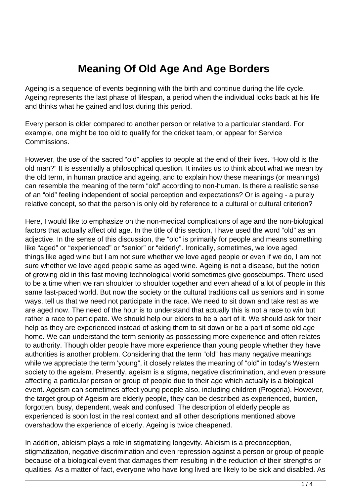## **Meaning Of Old Age And Age Borders**

Ageing is a sequence of events beginning with the birth and continue during the life cycle. Ageing represents the last phase of lifespan, a period when the individual looks back at his life and thinks what he gained and lost during this period.

Every person is older compared to another person or relative to a particular standard. For example, one might be too old to qualify for the cricket team, or appear for Service Commissions.

However, the use of the sacred "old" applies to people at the end of their lives. "How old is the old man?" It is essentially a philosophical question. It invites us to think about what we mean by the old term, in human practice and ageing, and to explain how these meanings (or meanings) can resemble the meaning of the term "old" according to non-human. Is there a realistic sense of an "old" feeling independent of social perception and expectations? Or is ageing - a purely relative concept, so that the person is only old by reference to a cultural or cultural criterion?

Here, I would like to emphasize on the non-medical complications of age and the non-biological factors that actually affect old age. In the title of this section, I have used the word "old" as an adjective. In the sense of this discussion, the "old" is primarily for people and means something like "aged" or "experienced" or "senior" or "elderly". Ironically, sometimes, we love aged things like aged wine but I am not sure whether we love aged people or even if we do, I am not sure whether we love aged people same as aged wine. Ageing is not a disease, but the notion of growing old in this fast moving technological world sometimes give goosebumps. There used to be a time when we ran shoulder to shoulder together and even ahead of a lot of people in this same fast-paced world. But now the society or the cultural traditions call us seniors and in some ways, tell us that we need not participate in the race. We need to sit down and take rest as we are aged now. The need of the hour is to understand that actually this is not a race to win but rather a race to participate. We should help our elders to be a part of it. We should ask for their help as they are experienced instead of asking them to sit down or be a part of some old age home. We can understand the term seniority as possessing more experience and often relates to authority. Though older people have more experience than young people whether they have authorities is another problem. Considering that the term "old" has many negative meanings while we appreciate the term 'young", it closely relates the meaning of "old" in today's Western society to the ageism. Presently, ageism is a stigma, negative discrimination, and even pressure affecting a particular person or group of people due to their age which actually is a biological event. Ageism can sometimes affect young people also, including children (Progeria). However, the target group of Ageism are elderly people, they can be described as experienced, burden, forgotten, busy, dependent, weak and confused. The description of elderly people as experienced is soon lost in the real context and all other descriptions mentioned above overshadow the experience of elderly. Ageing is twice cheapened.

In addition, ableism plays a role in stigmatizing longevity. Ableism is a preconception, stigmatization, negative discrimination and even repression against a person or group of people because of a biological event that damages them resulting in the reduction of their strengths or qualities. As a matter of fact, everyone who have long lived are likely to be sick and disabled. As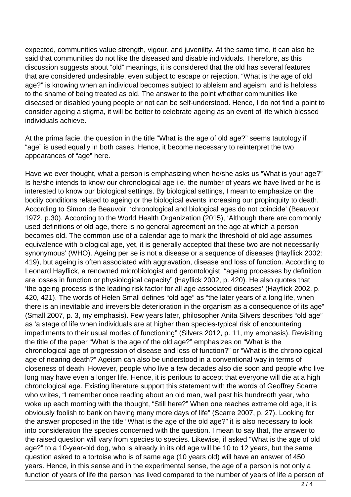expected, communities value strength, vigour, and juvenility. At the same time, it can also be said that communities do not like the diseased and disable individuals. Therefore, as this discussion suggests about "old" meanings, it is considered that the old has several features that are considered undesirable, even subject to escape or rejection. "What is the age of old age?" is knowing when an individual becomes subject to ableism and ageism, and is helpless to the shame of being treated as old. The answer to the point whether communities like diseased or disabled young people or not can be self-understood. Hence, I do not find a point to consider ageing a stigma, it will be better to celebrate ageing as an event of life which blessed individuals achieve.

At the prima facie, the question in the title "What is the age of old age?" seems tautology if "age" is used equally in both cases. Hence, it become necessary to reinterpret the two appearances of "age" here.

Have we ever thought, what a person is emphasizing when he/she asks us "What is your age?" Is he/she intends to know our chronological age i.e. the number of years we have lived or he is interested to know our biological settings. By biological settings, I mean to emphasize on the bodily conditions related to ageing or the biological events increasing our propinquity to death. According to Simon de Beauvoir, 'chronological and biological ages do not coincide' (Beauvoir 1972, p.30). According to the World Health Organization (2015), 'Although there are commonly used definitions of old age, there is no general agreement on the age at which a person becomes old. The common use of a calendar age to mark the threshold of old age assumes equivalence with biological age, yet, it is generally accepted that these two are not necessarily synonymous' (WHO). Ageing per se is not a disease or a sequence of diseases (Hayflick 2002: 419), but ageing is often associated with aggravation, disease and loss of function. According to Leonard Hayflick, a renowned microbiologist and gerontologist, "ageing processes by definition are losses in function or physiological capacity" (Hayflick 2002, p. 420). He also quotes that 'the ageing process is the leading risk factor for all age-associated diseases' (Hayflick 2002, p. 420, 421). The words of Helen Small defines "old age" as "the later years of a long life, when there is an inevitable and irreversible deterioration in the organism as a consequence of its age" (Small 2007, p. 3, my emphasis). Few years later, philosopher Anita Silvers describes "old age" as 'a stage of life when individuals are at higher than species-typical risk of encountering impediments to their usual modes of functioning" (Silvers 2012, p. 11, my emphasis). Revisiting the title of the paper "What is the age of the old age?" emphasizes on "What is the chronological age of progression of disease and loss of function?" or "What is the chronological age of nearing death?" Ageism can also be understood in a conventional way in terms of closeness of death. However, people who live a few decades also die soon and people who live long may have even a longer life. Hence, it is perilous to accept that everyone will die at a high chronological age. Existing literature support this statement with the words of Geoffrey Scarre who writes, "I remember once reading about an old man, well past his hundredth year, who woke up each morning with the thought, "Still here?" When one reaches extreme old age, it is obviously foolish to bank on having many more days of life" (Scarre 2007, p. 27). Looking for the answer proposed in the title "What is the age of the old age?" it is also necessary to look into consideration the species concerned with the question. I mean to say that, the answer to the raised question will vary from species to species. Likewise, if asked "What is the age of old age?" to a 10-year-old dog, who is already in its old age will be 10 to 12 years, but the same question asked to a tortoise who is of same age (10 years old) will have an answer of 450 years. Hence, in this sense and in the experimental sense, the age of a person is not only a function of years of life the person has lived compared to the number of years of life a person of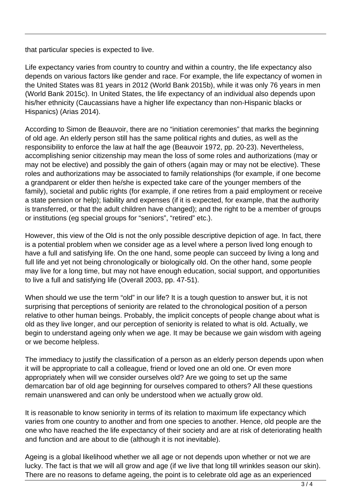that particular species is expected to live.

Life expectancy varies from country to country and within a country, the life expectancy also depends on various factors like gender and race. For example, the life expectancy of women in the United States was 81 years in 2012 (World Bank 2015b), while it was only 76 years in men (World Bank 2015c). In United States, the life expectancy of an individual also depends upon his/her ethnicity (Caucassians have a higher life expectancy than non-Hispanic blacks or Hispanics) (Arias 2014).

According to Simon de Beauvoir, there are no "initiation ceremonies" that marks the beginning of old age. An elderly person still has the same political rights and duties, as well as the responsibility to enforce the law at half the age (Beauvoir 1972, pp. 20-23). Nevertheless, accomplishing senior citizenship may mean the loss of some roles and authorizations (may or may not be elective) and possibly the gain of others (again may or may not be elective). These roles and authorizations may be associated to family relationships (for example, if one become a grandparent or elder then he/she is expected take care of the younger members of the family), societal and public rights (for example, if one retires from a paid employment or receive a state pension or help); liability and expenses (if it is expected, for example, that the authority is transferred, or that the adult children have changed); and the right to be a member of groups or institutions (eg special groups for "seniors", "retired" etc.).

However, this view of the Old is not the only possible descriptive depiction of age. In fact, there is a potential problem when we consider age as a level where a person lived long enough to have a full and satisfying life. On the one hand, some people can succeed by living a long and full life and yet not being chronologically or biologically old. On the other hand, some people may live for a long time, but may not have enough education, social support, and opportunities to live a full and satisfying life (Overall 2003, pp. 47-51).

When should we use the term "old" in our life? It is a tough question to answer but, it is not surprising that perceptions of seniority are related to the chronological position of a person relative to other human beings. Probably, the implicit concepts of people change about what is old as they live longer, and our perception of seniority is related to what is old. Actually, we begin to understand ageing only when we age. It may be because we gain wisdom with ageing or we become helpless.

The immediacy to justify the classification of a person as an elderly person depends upon when it will be appropriate to call a colleague, friend or loved one an old one. Or even more appropriately when will we consider ourselves old? Are we going to set up the same demarcation bar of old age beginning for ourselves compared to others? All these questions remain unanswered and can only be understood when we actually grow old.

It is reasonable to know seniority in terms of its relation to maximum life expectancy which varies from one country to another and from one species to another. Hence, old people are the one who have reached the life expectancy of their society and are at risk of deteriorating health and function and are about to die (although it is not inevitable).

Ageing is a global likelihood whether we all age or not depends upon whether or not we are lucky. The fact is that we will all grow and age (if we live that long till wrinkles season our skin). There are no reasons to defame ageing, the point is to celebrate old age as an experienced